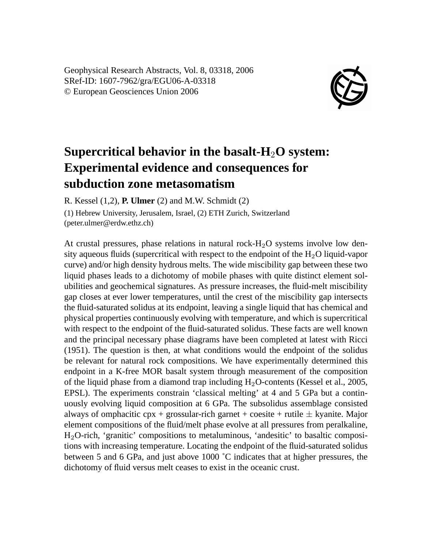Geophysical Research Abstracts, Vol. 8, 03318, 2006 SRef-ID: 1607-7962/gra/EGU06-A-03318 © European Geosciences Union 2006



## **Supercritical behavior in the basalt-H**2**O system: Experimental evidence and consequences for subduction zone metasomatism**

R. Kessel (1,2), **P. Ulmer** (2) and M.W. Schmidt (2)

(1) Hebrew University, Jerusalem, Israel, (2) ETH Zurich, Switzerland (peter.ulmer@erdw.ethz.ch)

At crustal pressures, phase relations in natural rock- $H_2O$  systems involve low density aqueous fluids (supercritical with respect to the endpoint of the  $H_2O$  liquid-vapor curve) and/or high density hydrous melts. The wide miscibility gap between these two liquid phases leads to a dichotomy of mobile phases with quite distinct element solubilities and geochemical signatures. As pressure increases, the fluid-melt miscibility gap closes at ever lower temperatures, until the crest of the miscibility gap intersects the fluid-saturated solidus at its endpoint, leaving a single liquid that has chemical and physical properties continuously evolving with temperature, and which is supercritical with respect to the endpoint of the fluid-saturated solidus. These facts are well known and the principal necessary phase diagrams have been completed at latest with Ricci (1951). The question is then, at what conditions would the endpoint of the solidus be relevant for natural rock compositions. We have experimentally determined this endpoint in a K-free MOR basalt system through measurement of the composition of the liquid phase from a diamond trap including  $H_2O$ -contents (Kessel et al., 2005, EPSL). The experiments constrain 'classical melting' at 4 and 5 GPa but a continuously evolving liquid composition at 6 GPa. The subsolidus assemblage consisted always of omphacitic cpx + grossular-rich garnet + coesite + rutile  $\pm$  kyanite. Major element compositions of the fluid/melt phase evolve at all pressures from peralkaline, H2O-rich, 'granitic' compositions to metaluminous, 'andesitic' to basaltic compositions with increasing temperature. Locating the endpoint of the fluid-saturated solidus between 5 and 6 GPa, and just above 1000 ˚C indicates that at higher pressures, the dichotomy of fluid versus melt ceases to exist in the oceanic crust.